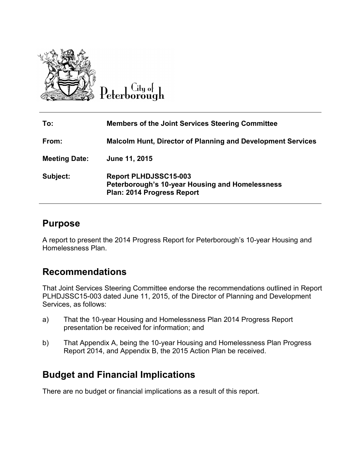

**To: Members of the Joint Services Steering Committee From: Malcolm Hunt, Director of Planning and Development Services Meeting Date: June 11, 2015 Subject: Report PLHDJSSC15-003 Peterborough's 10-year Housing and Homelessness Plan: 2014 Progress Report** 

## **Purpose**

A report to present the 2014 Progress Report for Peterborough's 10-year Housing and Homelessness Plan.

## **Recommendations**

That Joint Services Steering Committee endorse the recommendations outlined in Report PLHDJSSC15-003 dated June 11, 2015, of the Director of Planning and Development Services, as follows:

- a) That the 10-year Housing and Homelessness Plan 2014 Progress Report presentation be received for information; and
- b) That Appendix A, being the 10-year Housing and Homelessness Plan Progress Report 2014, and Appendix B, the 2015 Action Plan be received.

# **Budget and Financial Implications**

There are no budget or financial implications as a result of this report.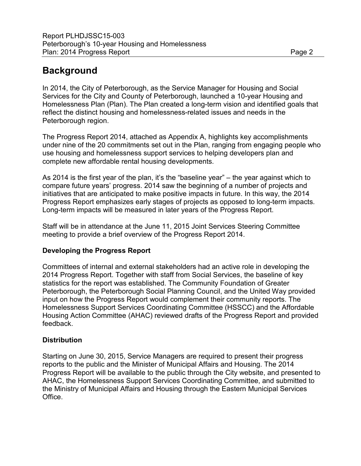# **Background**

In 2014, the City of Peterborough, as the Service Manager for Housing and Social Services for the City and County of Peterborough, launched a 10-year Housing and Homelessness Plan (Plan). The Plan created a long-term vision and identified goals that reflect the distinct housing and homelessness-related issues and needs in the Peterborough region.

The Progress Report 2014, attached as Appendix A, highlights key accomplishments under nine of the 20 commitments set out in the Plan, ranging from engaging people who use housing and homelessness support services to helping developers plan and complete new affordable rental housing developments.

As 2014 is the first year of the plan, it's the "baseline year" – the year against which to compare future years' progress. 2014 saw the beginning of a number of projects and initiatives that are anticipated to make positive impacts in future. In this way, the 2014 Progress Report emphasizes early stages of projects as opposed to long-term impacts. Long-term impacts will be measured in later years of the Progress Report.

Staff will be in attendance at the June 11, 2015 Joint Services Steering Committee meeting to provide a brief overview of the Progress Report 2014.

### **Developing the Progress Report**

Committees of internal and external stakeholders had an active role in developing the 2014 Progress Report. Together with staff from Social Services, the baseline of key statistics for the report was established. The Community Foundation of Greater Peterborough, the Peterborough Social Planning Council, and the United Way provided input on how the Progress Report would complement their community reports. The Homelessness Support Services Coordinating Committee (HSSCC) and the Affordable Housing Action Committee (AHAC) reviewed drafts of the Progress Report and provided feedback.

#### **Distribution**

Starting on June 30, 2015, Service Managers are required to present their progress reports to the public and the Minister of Municipal Affairs and Housing. The 2014 Progress Report will be available to the public through the City website, and presented to AHAC, the Homelessness Support Services Coordinating Committee, and submitted to the Ministry of Municipal Affairs and Housing through the Eastern Municipal Services Office.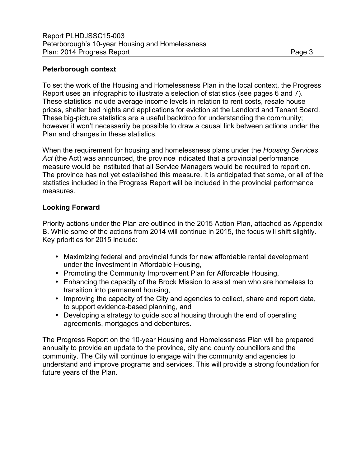#### **Peterborough context**

To set the work of the Housing and Homelessness Plan in the local context, the Progress Report uses an infographic to illustrate a selection of statistics (see pages 6 and 7). These statistics include average income levels in relation to rent costs, resale house prices, shelter bed nights and applications for eviction at the Landlord and Tenant Board. These big-picture statistics are a useful backdrop for understanding the community; however it won't necessarily be possible to draw a causal link between actions under the Plan and changes in these statistics.

When the requirement for housing and homelessness plans under the *Housing Services Act* (the Act) was announced, the province indicated that a provincial performance measure would be instituted that all Service Managers would be required to report on. The province has not yet established this measure. It is anticipated that some, or all of the statistics included in the Progress Report will be included in the provincial performance measures.

### **Looking Forward**

Priority actions under the Plan are outlined in the 2015 Action Plan, attached as Appendix B. While some of the actions from 2014 will continue in 2015, the focus will shift slightly. Key priorities for 2015 include:

- Maximizing federal and provincial funds for new affordable rental development under the Investment in Affordable Housing,
- Promoting the Community Improvement Plan for Affordable Housing,
- Enhancing the capacity of the Brock Mission to assist men who are homeless to transition into permanent housing,
- Improving the capacity of the City and agencies to collect, share and report data, to support evidence-based planning, and
- Developing a strategy to guide social housing through the end of operating agreements, mortgages and debentures.

The Progress Report on the 10-year Housing and Homelessness Plan will be prepared annually to provide an update to the province, city and county councillors and the community. The City will continue to engage with the community and agencies to understand and improve programs and services. This will provide a strong foundation for future years of the Plan.